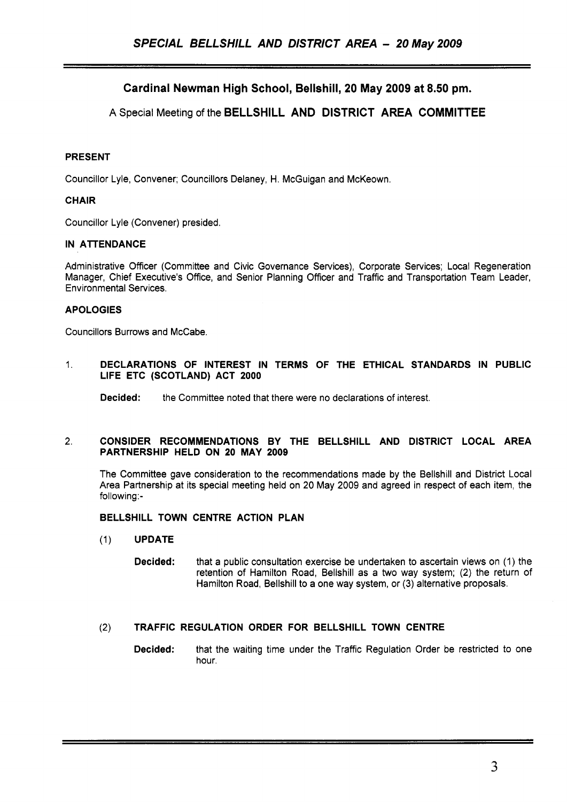# **Cardinal Newman High School, Bellshill, 20 May 2009 at 8.50 pm.**

# A Special Meeting of the **BELLSHILL AND DISTRICT AREA COMMITTEE**

# **PRESENT**

Councillor Lyle, Convener; Councillors Delaney, H. McGuigan and McKeown.

## **CHAIR**

Councillor Lyle (Convener) presided.

## **IN ATTENDANCE**

Administrative Officer (Committee and Civic Governance Services), Corporate Services; Local Regeneration Manager, Chief Executive's Office, and Senior Planning Officer and Traffic and Transportation Team Leader, Environmental Services.

# **APOLOGIES**

Councillors Burrows and McCabe.

## 1. **DECLARATIONS OF INTEREST IN TERMS OF THE ETHICAL STANDARDS IN PUBLIC LIFE ETC (SCOTLAND) ACT 2000**

**Decided:** the Committee noted that there were no declarations of interest.

#### 2. **CONSIDER RECOMMENDATIONS BY THE BELLSHILL AND DISTRICT LOCAL AREA PARTNERSHIP HELD ON 20 MAY 2009**

The Committee gave consideration to the recommendations made by the Bellshill and District Local Area Partnership at its special meeting held on 20 May 2009 and agreed in respect of each item, the following:-

## **BELLSHILL TOWN CENTRE ACTION PLAN**

#### (1) **UPDATE**

**Decided:** that a public consultation exercise be undertaken to ascertain views on (1) the retention of Hamilton Road, Bellshill as a two way system; (2) the return of Hamilton Road, Bellshill to a one way system, or (3) alternative proposals.

# (2) **TRAFFIC REGULATION ORDER FOR BELLSHILL TOWN CENTRE**

**Decided:** that the waiting time under the Traffic Regulation Order be restricted to one hour.